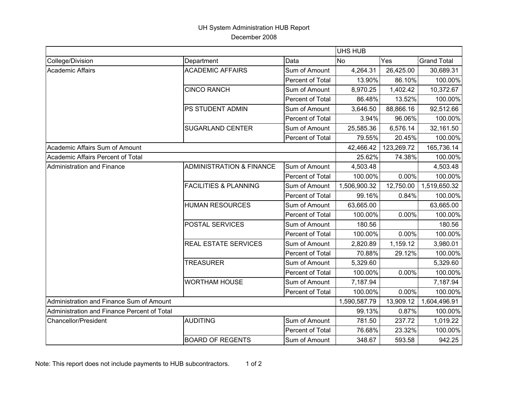## UH System Administration HUB Report December 2008

|                                             |                                     |                         | UHS HUB      |            |                    |
|---------------------------------------------|-------------------------------------|-------------------------|--------------|------------|--------------------|
| College/Division                            | Department                          | Data                    | <b>No</b>    | Yes        | <b>Grand Total</b> |
| Academic Affairs                            | <b>ACADEMIC AFFAIRS</b>             | Sum of Amount           | 4,264.31     | 26,425.00  | 30,689.31          |
|                                             |                                     | Percent of Total        | 13.90%       | 86.10%     | 100.00%            |
|                                             | <b>CINCO RANCH</b>                  | Sum of Amount           | 8,970.25     | 1,402.42   | 10,372.67          |
|                                             |                                     | <b>Percent of Total</b> | 86.48%       | 13.52%     | 100.00%            |
|                                             | PS STUDENT ADMIN                    | Sum of Amount           | 3,646.50     | 88,866.16  | 92,512.66          |
|                                             |                                     | Percent of Total        | 3.94%        | 96.06%     | 100.00%            |
|                                             | <b>SUGARLAND CENTER</b>             | Sum of Amount           | 25,585.36    | 6,576.14   | 32,161.50          |
|                                             |                                     | <b>Percent of Total</b> | 79.55%       | 20.45%     | 100.00%            |
| Academic Affairs Sum of Amount              |                                     |                         | 42,466.42    | 123,269.72 | 165,736.14         |
| Academic Affairs Percent of Total           |                                     |                         | 25.62%       | 74.38%     | 100.00%            |
| Administration and Finance                  | <b>ADMINISTRATION &amp; FINANCE</b> | Sum of Amount           | 4,503.48     |            | 4,503.48           |
|                                             |                                     | <b>Percent of Total</b> | 100.00%      | 0.00%      | 100.00%            |
|                                             | <b>FACILITIES &amp; PLANNING</b>    | Sum of Amount           | 1,506,900.32 | 12,750.00  | 1,519,650.32       |
|                                             |                                     | Percent of Total        | 99.16%       | 0.84%      | 100.00%            |
|                                             | <b>HUMAN RESOURCES</b>              | Sum of Amount           | 63,665.00    |            | 63,665.00          |
|                                             |                                     | <b>Percent of Total</b> | 100.00%      | 0.00%      | 100.00%            |
|                                             | POSTAL SERVICES                     | Sum of Amount           | 180.56       |            | 180.56             |
|                                             |                                     | <b>Percent of Total</b> | 100.00%      | 0.00%      | 100.00%            |
|                                             | <b>REAL ESTATE SERVICES</b>         | Sum of Amount           | 2,820.89     | 1,159.12   | 3,980.01           |
|                                             |                                     | Percent of Total        | 70.88%       | 29.12%     | 100.00%            |
|                                             | <b>TREASURER</b>                    | Sum of Amount           | 5,329.60     |            | 5,329.60           |
|                                             |                                     | Percent of Total        | 100.00%      | 0.00%      | 100.00%            |
|                                             | <b>WORTHAM HOUSE</b>                | Sum of Amount           | 7,187.94     |            | 7,187.94           |
|                                             |                                     | Percent of Total        | 100.00%      | 0.00%      | 100.00%            |
| Administration and Finance Sum of Amount    |                                     |                         | 1,590,587.79 | 13,909.12  | 1,604,496.91       |
| Administration and Finance Percent of Total |                                     |                         | 99.13%       | 0.87%      | 100.00%            |
| Chancellor/President                        | <b>AUDITING</b>                     | Sum of Amount           | 781.50       | 237.72     | 1,019.22           |
|                                             |                                     | <b>Percent of Total</b> | 76.68%       | 23.32%     | 100.00%            |
|                                             | <b>BOARD OF REGENTS</b>             | Sum of Amount           | 348.67       | 593.58     | 942.25             |